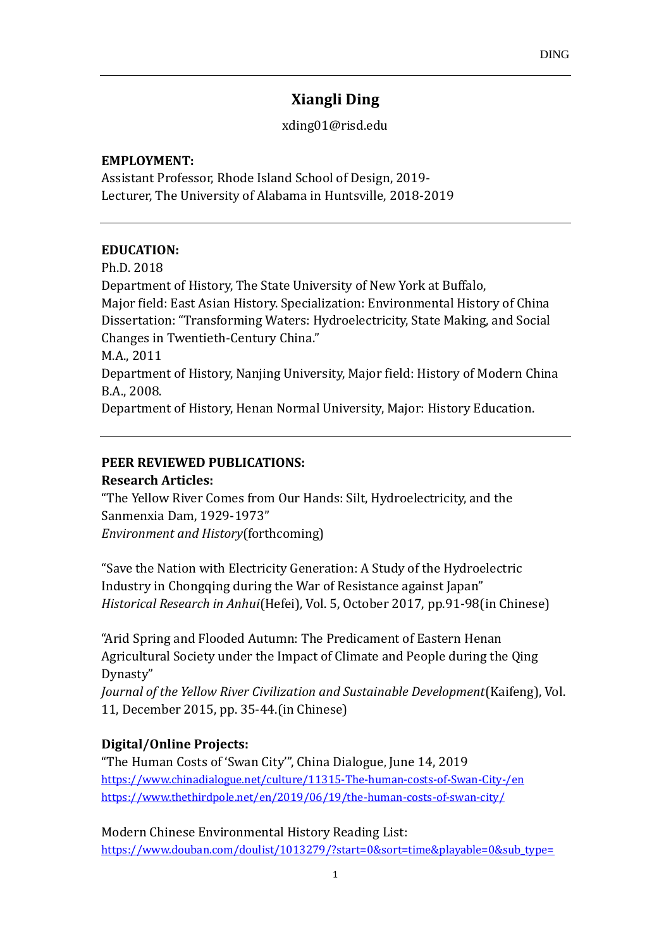# **Xiangli Ding**

[xding01@risd.edu](mailto:xding01@risd.edu)

#### **EMPLOYMENT:**

Assistant Professor, Rhode Island School of Design, 2019- Lecturer, The University of Alabama in Huntsville, 2018-2019

### **EDUCATION:**

Ph.D. 2018 Department of History, The State University of New York at Buffalo, Major field: East Asian History. Specialization: Environmental History of China Dissertation: "Transforming Waters: Hydroelectricity, State Making, and Social Changes in Twentieth-Century China." M.A., 2011 Department of History, Nanjing University, Major field: History of Modern China B.A., 2008. Department of History, Henan Normal University, Major: History Education.

## **PEER REVIEWED PUBLICATIONS:**

### **Research Articles:**

"The Yellow River Comes from Our Hands: Silt, Hydroelectricity, and the Sanmenxia Dam, 1929-1973" *Environment and History*(forthcoming)

"Save the Nation with Electricity Generation: A Study of the Hydroelectric Industry in Chongqing during the War of Resistance against Japan" *Historical Research in Anhui*(Hefei)*,* Vol. 5, October 2017, pp.91-98(in Chinese)

"Arid Spring and Flooded Autumn: The Predicament of Eastern Henan Agricultural Society under the Impact of Climate and People during the Qing Dynasty"

*Journal of the Yellow River Civilization and Sustainable Development*(Kaifeng), Vol. 11, December 2015, pp. 35-44.(in Chinese)

# **Digital/Online Projects:**

"The Human Costs of 'Swan City'", China Dialogue, June 14, 2019 <https://www.chinadialogue.net/culture/11315-The-human-costs-of-Swan-City-/en> <https://www.thethirdpole.net/en/2019/06/19/the-human-costs-of-swan-city/>

Modern Chinese Environmental History Reading List: [https://www.douban.com/doulist/1013279/?start=0&sort=time&playable=0&sub\\_type=](https://www.douban.com/doulist/1013279/?start=0&sort=time&playable=0&sub_type=)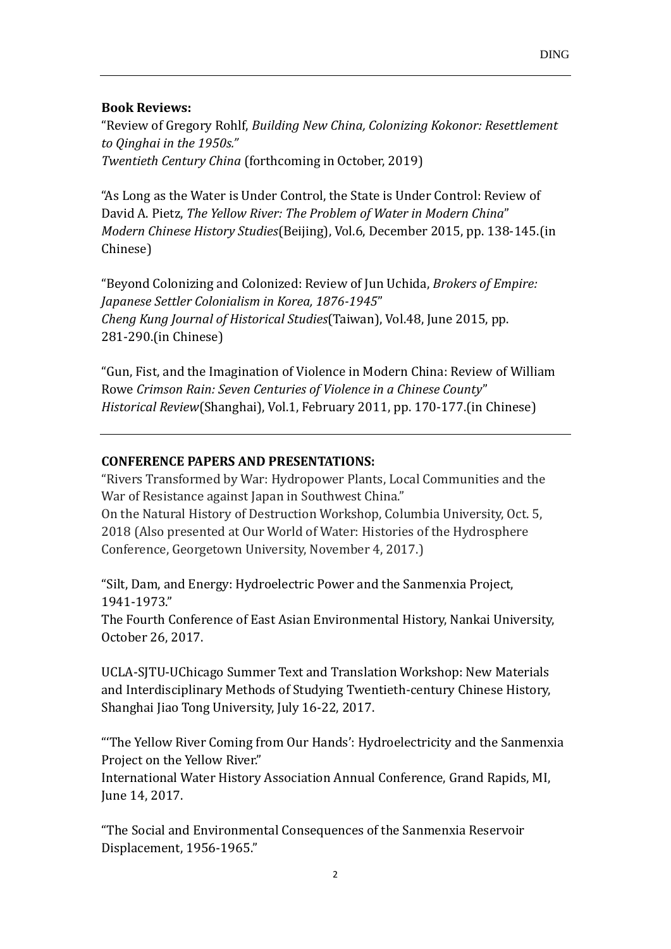# **Book Reviews:**

"Review of Gregory Rohlf, *Building New China, Colonizing Kokonor: Resettlement to Qinghai in the 1950s." Twentieth Century China* (forthcoming in October, 2019)

"As Long as the Water is Under Control, the State is Under Control: Review of David A. Pietz, *The Yellow River: The Problem of Water in Modern China*" *Modern Chinese History Studies*(Beijing), Vol.6, December 2015, pp. 138-145.(in Chinese)

"Beyond Colonizing and Colonized: Review of Jun Uchida, *Brokers of Empire: Japanese Settler Colonialism in Korea, 1876-1945*" *Cheng Kung Journal of Historical Studies*(Taiwan), Vol.48, June 2015, pp. 281-290.(in Chinese)

"Gun, Fist, and the Imagination of Violence in Modern China: Review of William Rowe *Crimson Rain: Seven Centuries of Violence in a Chinese County*" *Historical Review*(Shanghai), Vol.1, February 2011, pp. 170-177.(in Chinese)

## **CONFERENCE PAPERS AND PRESENTATIONS:**

"Rivers Transformed by War: Hydropower Plants, Local Communities and the War of Resistance against Japan in Southwest China." On the Natural History of Destruction Workshop, Columbia University, Oct. 5, 2018 (Also presented at Our World of Water: Histories of the Hydrosphere

Conference, Georgetown University, November 4, 2017.)

"Silt, Dam, and Energy: Hydroelectric Power and the Sanmenxia Project, 1941-1973."

The Fourth Conference of East Asian Environmental History, Nankai University, October 26, 2017.

UCLA-SJTU-UChicago Summer Text and Translation Workshop: New Materials and Interdisciplinary Methods of Studying Twentieth-century Chinese History, Shanghai Jiao Tong University, July 16-22, 2017.

"'The Yellow River Coming from Our Hands': Hydroelectricity and the Sanmenxia Project on the Yellow River."

International Water History Association Annual Conference, Grand Rapids, MI, June 14, 2017.

"The Social and Environmental Consequences of the Sanmenxia Reservoir Displacement, 1956-1965."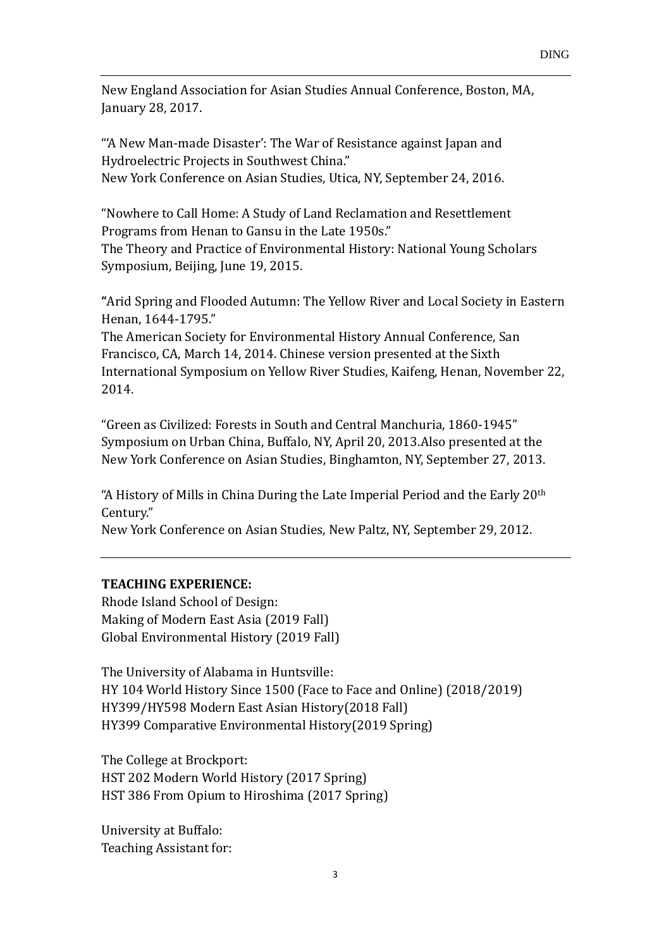New England Association for Asian Studies Annual Conference, Boston, MA, January 28, 2017.

"'A New Man-made Disaster': The War of Resistance against Japan and Hydroelectric Projects in Southwest China." New York Conference on Asian Studies, Utica, NY, September 24, 2016.

"Nowhere to Call Home: A Study of Land Reclamation and Resettlement Programs from Henan to Gansu in the Late 1950s."

The Theory and Practice of Environmental History: National Young Scholars Symposium, Beijing, June 19, 2015.

**"**Arid Spring and Flooded Autumn: The Yellow River and Local Society in Eastern Henan, 1644-1795."

The American Society for Environmental History Annual Conference, San Francisco, CA, March 14, 2014. Chinese version presented at the Sixth International Symposium on Yellow River Studies, Kaifeng, Henan, November 22, 2014.

"Green as Civilized: Forests in South and Central Manchuria, 1860-1945" Symposium on Urban China, Buffalo, NY, April 20, 2013.Also presented at the New York Conference on Asian Studies, Binghamton, NY, September 27, 2013.

"A History of Mills in China During the Late Imperial Period and the Early 20th Century."

New York Conference on Asian Studies, New Paltz, NY, September 29, 2012.

### **TEACHING EXPERIENCE:**

Rhode Island School of Design: Making of Modern East Asia (2019 Fall) Global Environmental History (2019 Fall)

The University of Alabama in Huntsville: HY 104 World History Since 1500 (Face to Face and Online) (2018/2019) HY399/HY598 Modern East Asian History(2018 Fall) HY399 Comparative Environmental History(2019 Spring)

The College at Brockport: HST 202 Modern World History (2017 Spring) HST 386 From Opium to Hiroshima (2017 Spring)

University at Buffalo: Teaching Assistant for: